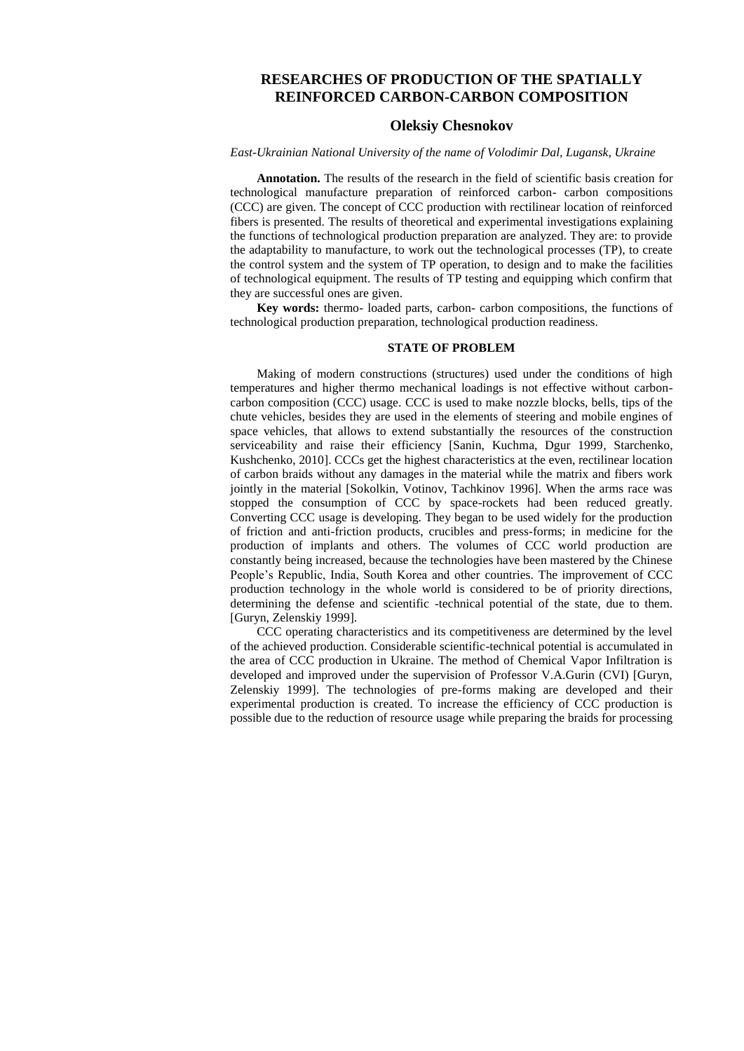# **RESEARCHES OF PRODUCTION OF THE SPATIALLY REINFORCED CARBON-CARBON COMPOSITION**

### **Oleksiy Chesnokov**

#### *East-Ukrainian National University of the name of Volodimir Dal, Lugansk, Ukraine*

**Annotation.** The results of the research in the field of scientific basis creation for technological manufacture preparation of reinforced carbon- carbon compositions (CCC) are given. The concept of CCC production with rectilinear location of reinforced fibers is presented. The results of theoretical and experimental investigations explaining the functions of technological production preparation are analyzed. They are: to provide the adaptability to manufacture, to work out the technological processes (TP), to create the control system and the system of TP operation, to design and to make the facilities of technological equipment. The results of TP testing and equipping which confirm that they are successful ones are given.

**Key words:** thermo- loaded parts, carbon- carbon compositions, the functions of technological production preparation, technological production readiness.

## **STATE OF PROBLEM**

Making of modern constructions (structures) used under the conditions of high temperatures and higher thermo mechanical loadings is not effective without carboncarbon composition (CCC) usage. CCC is used to make nozzle blocks, bells, tips of the chute vehicles, besides they are used in the elements of steering and mobile engines of space vehicles, that allows to extend substantially the resources of the construction serviceability and raise their efficiency [Sanin, Kuchma, Dgur 1999, Starchenko, Kushchenko, 2010]. CCCs get the highest characteristics at the even, rectilinear location of carbon braids without any damages in the material while the matrix and fibers work jointly in the material [Sokolkin, Votinov, Tachkinov 1996]. When the arms race was stopped the consumption of CCC by space-rockets had been reduced greatly. Converting CCC usage is developing. They began to be used widely for the production of friction and anti-friction products, crucibles and press-forms; in medicine for the production of implants and others. The volumes of CCC world production are constantly being increased, because the technologies have been mastered by the Chinese People's Republic, India, South Korea and other countries. The improvement of CCC production technology in the whole world is considered to be of priority directions, determining the defense and scientific -technical potential of the state, due to them. [Guryn, Zelenskiy 1999].

CCC operating characteristics and its competitiveness are determined by the level of the achieved production. Considerable scientific-technical potential is accumulated in the area of CCC production in Ukraine. The method of Chemical Vapor Infiltration is developed and improved under the supervision of Professor V.A.Gurin (CVI) [Guryn, Zelenskiy 1999]. The technologies of pre-forms making are developed and their experimental production is created. To increase the efficiency of CCC production is possible due to the reduction of resource usage while preparing the braids for processing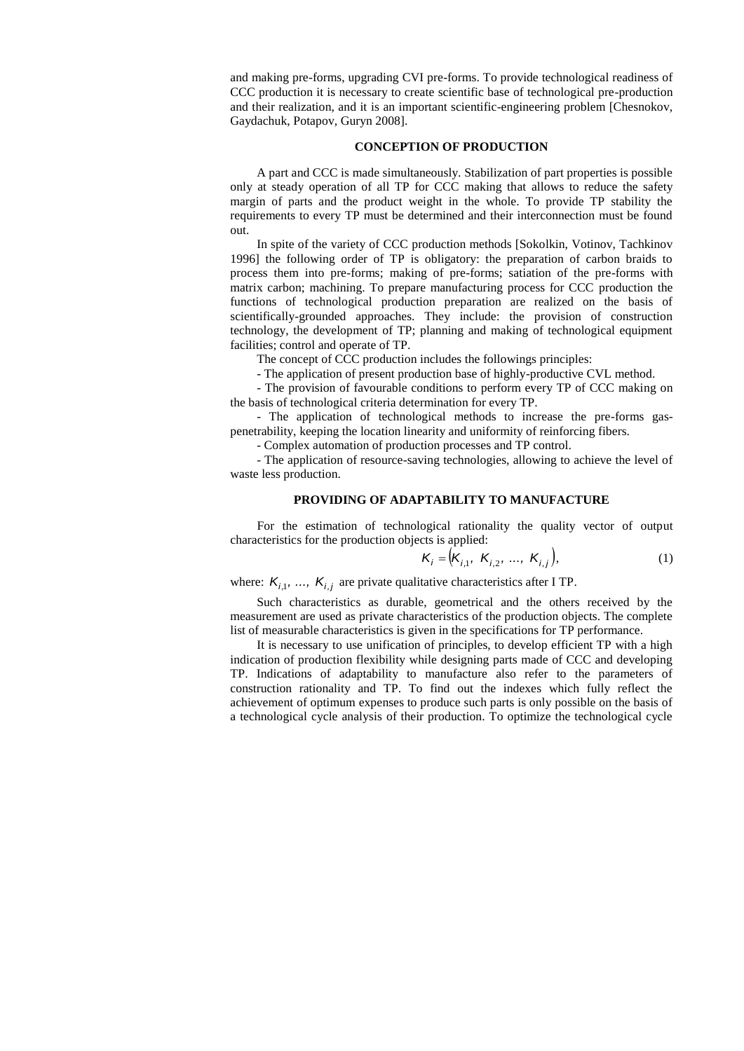and making pre-forms, upgrading CVI pre-forms. To provide technological readiness of CCC production it is necessary to create scientific base of technological pre-production and their realization, and it is an important scientific-engineering problem [Chesnokov, Gaydachuk, Potapov, Guryn 2008].

### **CONCEPTION OF PRODUCTION**

A part and CCC is made simultaneously. Stabilization of part properties is possible only at steady operation of all TP for CCC making that allows to reduce the safety margin of parts and the product weight in the whole. To provide TP stability the requirements to every TP must be determined and their interconnection must be found out.

In spite of the variety of CCC production methods [Sokolkin, Votinov, Tachkinov 1996] the following order of TP is obligatory: the preparation of carbon braids to process them into pre-forms; making of pre-forms; satiation of the pre-forms with matrix carbon; machining. To prepare manufacturing process for CCC production the functions of technological production preparation are realized on the basis of scientifically-grounded approaches. They include: the provision of construction technology, the development of TP; planning and making of technological equipment facilities; control and operate of TP.

The concept of CCC production includes the followings principles:

- The application of present production base of highly-productive CVL method.

- The provision of favourable conditions to perform every TP of CCC making on the basis of technological criteria determination for every TP.

- The application of technological methods to increase the pre-forms gaspenetrability, keeping the location linearity and uniformity of reinforcing fibers.

- Complex automation of production processes and TP control.

- The application of resource-saving technologies, allowing to achieve the level of waste less production.

### **PROVIDING OF ADAPTABILITY TO MANUFACTURE**

For the estimation of technological rationality the quality vector of output characteristics for the production objects is applied:

$$
K_i = (K_{i,1}, K_{i,2}, ..., K_{i,j}),
$$
 (1)

where:  $K_{i,1}$ , ...,  $K_{i,j}$  are private qualitative characteristics after I TP.

Such characteristics as durable, geometrical and the others received by the measurement are used as private characteristics of the production objects. The complete list of measurable characteristics is given in the specifications for TP performance.

It is necessary to use unification of principles, to develop efficient TP with a high indication of production flexibility while designing parts made of CCC and developing TP. Indications of adaptability to manufacture also refer to the parameters of construction rationality and TP. To find out the indexes which fully reflect the achievement of optimum expenses to produce such parts is only possible on the basis of a technological cycle analysis of their production. To optimize the technological cycle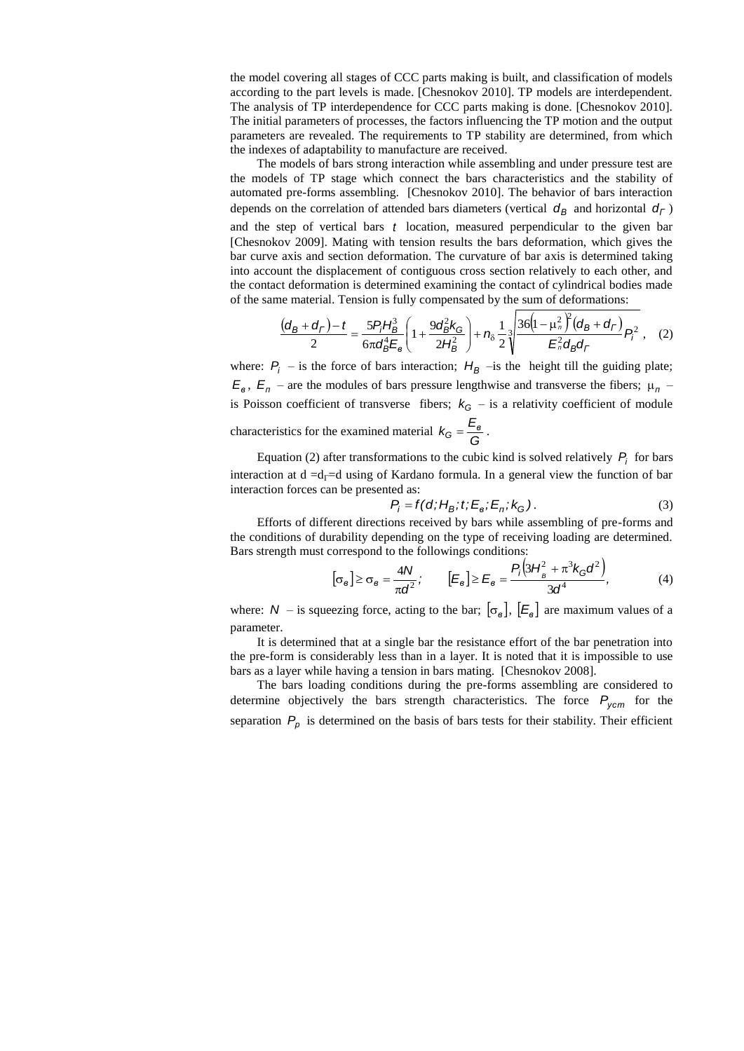the model covering all stages of CCC parts making is built, and classification of models according to the part levels is made. [Chesnokov 2010]. TP models are interdependent. The analysis of TP interdependence for CCC parts making is done. [Chesnokov 2010]. The initial parameters of processes, the factors influencing the TP motion and the output parameters are revealed. The requirements to TP stability are determined, from which the indexes of adaptability to manufacture are received.

The models of bars strong interaction while assembling and under pressure test are the models of TP stage which connect the bars characteristics and the stability of automated pre-forms assembling. [Chesnokov 2010]. The behavior of bars interaction depends on the correlation of attended bars diameters (vertical  $d_B$  and horizontal  $d_C$ )

and the step of vertical bars *t* location, measured perpendicular to the given bar [Chesnokov 2009]. Mating with tension results the bars deformation, which gives the bar curve axis and section deformation. The curvature of bar axis is determined taking into account the displacement of contiguous cross section relatively to each other, and the contact deformation is determined examining the contact of cylindrical bodies made of the same material. Tension is fully compensated by the sum of deformations:

$$
\frac{(d_B + d_\Gamma) - t}{2} = \frac{5P_iH_B^3}{6\pi d_B^4 E_\mathbf{e}} \left(1 + \frac{9d_B^2 k_\mathbf{G}}{2H_B^2}\right) + n_\delta \frac{1}{2} \sqrt[3]{\frac{36\left(1 - \mu_n^2\right)^2 (d_B + d_\Gamma)}{E_n^2 d_B d_\Gamma}} P_i^2 \tag{2}
$$

where:  $P_i$  – is the force of bars interaction;  $H_B$  – is the height till the guiding plate;  $E_{\rm g}$ ,  $E_{\rm n}$  – are the modules of bars pressure lengthwise and transverse the fibers;  $\mu_{\rm n}$  – is Poisson coefficient of transverse fibers;  $k_G$  – is a relativity coefficient of module

characteristics for the examined material  $k_G = \frac{-\epsilon}{G}$  $k_{G} = \frac{E_{\rm g}}{G}$ .

Equation (2) after transformations to the cubic kind is solved relatively  $P_i$  for bars interaction at  $d = d<sub>l</sub> = d$  using of Kardano formula. In a general view the function of bar interaction forces can be presented as:

$$
P_i = f(d; H_B; t; E_e; E_n; k_G).
$$
\n(3)

Efforts of different directions received by bars while assembling of pre-forms and the conditions of durability depending on the type of receiving loading are determined. Bars strength must correspond to the followings conditions:

$$
[\sigma_{\mathbf{e}}] \ge \sigma_{\mathbf{e}} = \frac{4N}{\pi d^2}; \qquad [E_{\mathbf{e}}] \ge E_{\mathbf{e}} = \frac{P_i(3H_{\mathbf{e}}^2 + \pi^3 k_{\mathbf{G}} d^2)}{3d^4}, \tag{4}
$$

where:  $N -$  is squeezing force, acting to the bar;  $\left[\sigma_{\mathbf{g}}\right]$ ,  $\left[\mathcal{E}_{\mathbf{g}}\right]$  are maximum values of a parameter.

It is determined that at a single bar the resistance effort of the bar penetration into the pre-form is considerably less than in a layer. It is noted that it is impossible to use bars as a layer while having a tension in bars mating. [Chesnokov 2008].

The bars loading conditions during the pre-forms assembling are considered to determine objectively the bars strength characteristics. The force *Pуст* for the separation  $P_p$  is determined on the basis of bars tests for their stability. Their efficient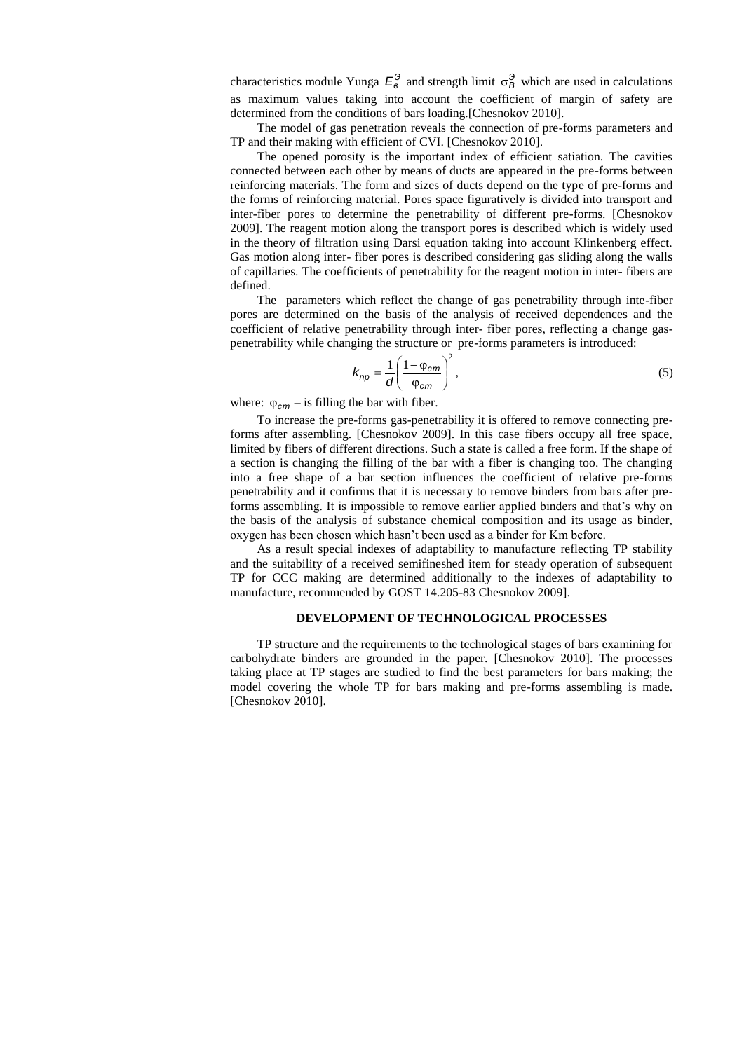characteristics module Yunga  $E_8^3$  and strength limit  $\sigma_B^3$  which are used in calculations as maximum values taking into account the coefficient of margin of safety are determined from the conditions of bars loading.[Chesnokov 2010].

The model of gas penetration reveals the connection of pre-forms parameters and TP and their making with efficient of CVI. [Chesnokov 2010].

The opened porosity is the important index of efficient satiation. The cavities connected between each other by means of ducts are appeared in the pre-forms between reinforcing materials. The form and sizes of ducts depend on the type of pre-forms and the forms of reinforcing material. Pores space figuratively is divided into transport and inter-fiber pores to determine the penetrability of different pre-forms. [Chesnokov 2009]. The reagent motion along the transport pores is described which is widely used in the theory of filtration using Darsi equation taking into account Klinkenberg effect. Gas motion along inter- fiber pores is described considering gas sliding along the walls of capillaries. The coefficients of penetrability for the reagent motion in inter- fibers are defined.

The parameters which reflect the change of gas penetrability through inte-fiber pores are determined on the basis of the analysis of received dependences and the coefficient of relative penetrability through inter- fiber pores, reflecting a change gaspenetrability while changing the structure or pre-forms parameters is introduced:

$$
k_{np} = \frac{1}{d} \left( \frac{1 - \varphi_{cm}}{\varphi_{cm}} \right)^2, \tag{5}
$$

where:  $\varphi_{cm}$  – is filling the bar with fiber.

To increase the pre-forms gas-penetrability it is offered to remove connecting preforms after assembling. [Chesnokov 2009]. In this case fibers occupy all free space, limited by fibers of different directions. Such a state is called a free form. If the shape of a section is changing the filling of the bar with a fiber is changing too. The changing into a free shape of a bar section influences the coefficient of relative pre-forms penetrability and it confirms that it is necessary to remove binders from bars after preforms assembling. It is impossible to remove earlier applied binders and that's why on the basis of the analysis of substance chemical composition and its usage as binder, oxygen has been chosen which hasn't been used as a binder for Km before.

As a result special indexes of adaptability to manufacture reflecting TP stability and the suitability of a received semifineshed item for steady operation of subsequent TP for CCC making are determined additionally to the indexes of adaptability to manufacture, recommended by GOST 14.205-83 Chesnokov 2009].

### **DEVELOPMENT OF TECHNOLOGICAL PROCESSES**

TP structure and the requirements to the technological stages of bars examining for carbohydrate binders are grounded in the paper. [Chesnokov 2010]. The processes taking place at TP stages are studied to find the best parameters for bars making; the model covering the whole TP for bars making and pre-forms assembling is made. [Chesnokov 2010].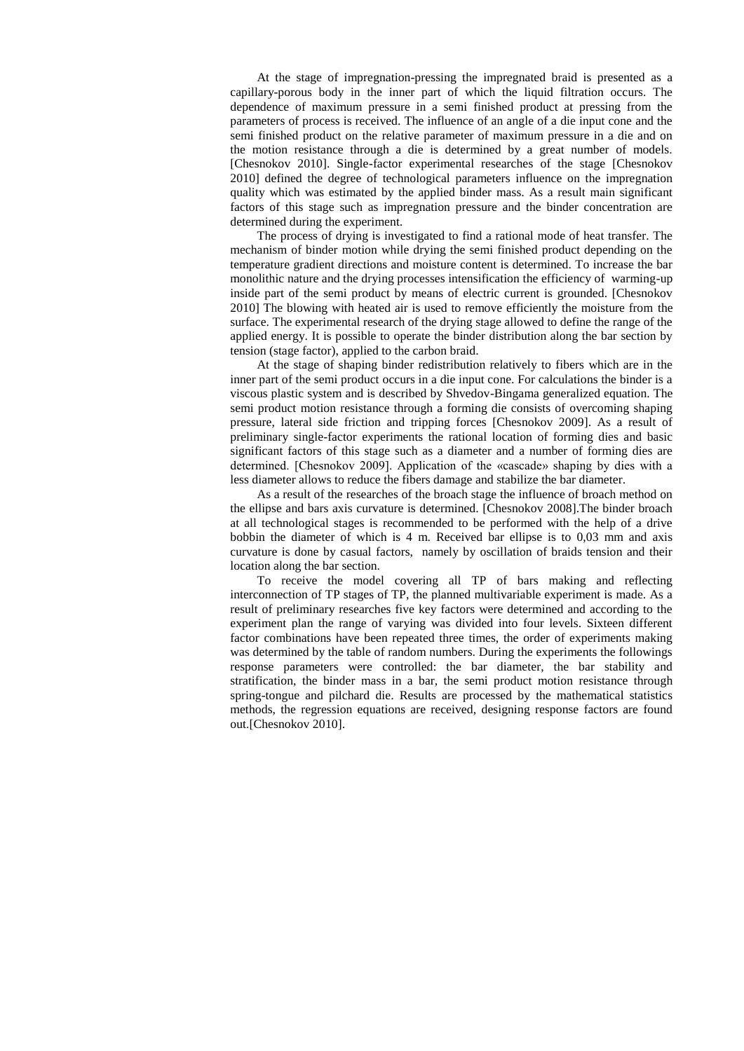At the stage of impregnation-pressing the impregnated braid is presented as a capillary-porous body in the inner part of which the liquid filtration occurs. The dependence of maximum pressure in a semi finished product at pressing from the parameters of process is received. The influence of an angle of a die input cone and the semi finished product on the relative parameter of maximum pressure in a die and on the motion resistance through a die is determined by a great number of models. [Chesnokov 2010]. Single-factor experimental researches of the stage [Chesnokov 2010] defined the degree of technological parameters influence on the impregnation quality which was estimated by the applied binder mass. As a result main significant factors of this stage such as impregnation pressure and the binder concentration are determined during the experiment.

The process of drying is investigated to find a rational mode of heat transfer. The mechanism of binder motion while drying the semi finished product depending on the temperature gradient directions and moisture content is determined. To increase the bar monolithic nature and the drying processes intensification the efficiency of warming-up inside part of the semi product by means of electric current is grounded. [Chesnokov 2010] The blowing with heated air is used to remove efficiently the moisture from the surface. The experimental research of the drying stage allowed to define the range of the applied energy. It is possible to operate the binder distribution along the bar section by tension (stage factor), applied to the carbon braid.

At the stage of shaping binder redistribution relatively to fibers which are in the inner part of the semi product occurs in a die input cone. For calculations the binder is a viscous plastic system and is described by Shvedov-Bingama generalized equation. The semi product motion resistance through a forming die consists of overcoming shaping pressure, lateral side friction and tripping forces [Chesnokov 2009]. As a result of preliminary single-factor experiments the rational location of forming dies and basic significant factors of this stage such as a diameter and a number of forming dies are determined. [Chesnokov 2009]. Application of the «cascade» shaping by dies with a less diameter allows to reduce the fibers damage and stabilize the bar diameter.

As a result of the researches of the broach stage the influence of broach method on the ellipse and bars axis curvature is determined. [Chesnokov 2008].The binder broach at all technological stages is recommended to be performed with the help of a drive bobbin the diameter of which is 4 m. Received bar ellipse is to 0,03 mm and axis curvature is done by casual factors, namely by oscillation of braids tension and their location along the bar section.

To receive the model covering all TP of bars making and reflecting interconnection of TP stages of TP, the planned multivariable experiment is made. As a result of preliminary researches five key factors were determined and according to the experiment plan the range of varying was divided into four levels. Sixteen different factor combinations have been repeated three times, the order of experiments making was determined by the table of random numbers. During the experiments the followings response parameters were controlled: the bar diameter, the bar stability and stratification, the binder mass in a bar, the semi product motion resistance through spring-tongue and pilchard die. Results are processed by the mathematical statistics methods, the regression equations are received, designing response factors are found out.[Chesnokov 2010].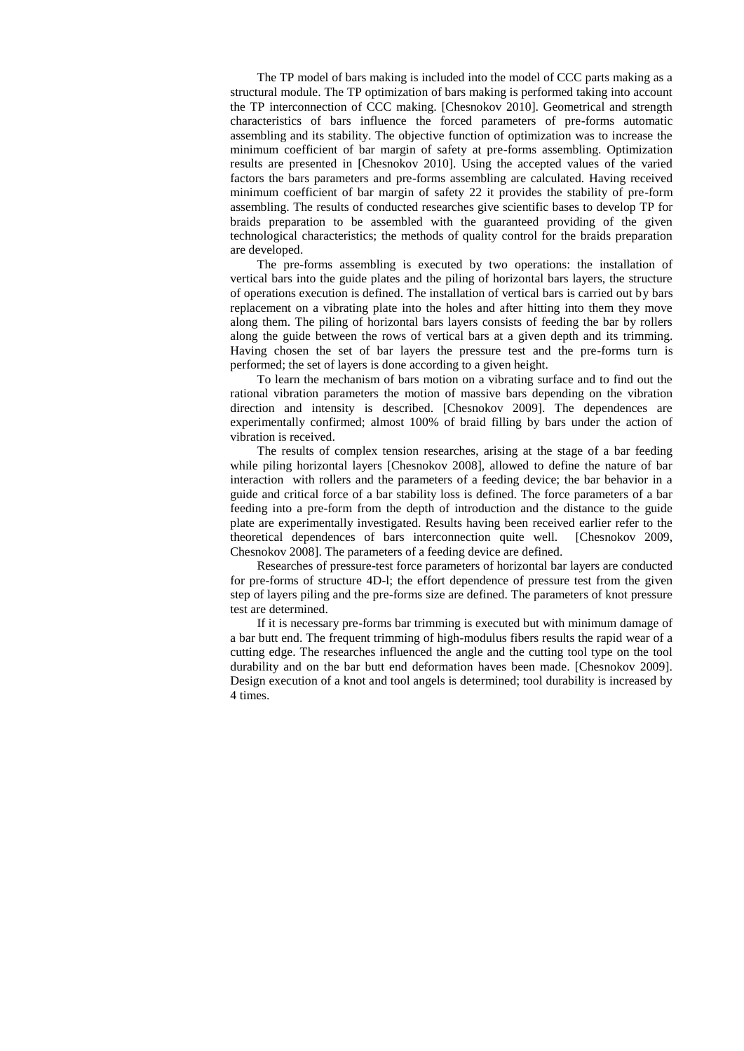The TP model of bars making is included into the model of CCC parts making as a structural module. The TP optimization of bars making is performed taking into account the TP interconnection of CCC making. [Chesnokov 2010]. Geometrical and strength characteristics of bars influence the forced parameters of pre-forms automatic assembling and its stability. The objective function of optimization was to increase the minimum coefficient of bar margin of safety at pre-forms assembling. Optimization results are presented in [Chesnokov 2010]. Using the accepted values of the varied factors the bars parameters and pre-forms assembling are calculated. Having received minimum coefficient of bar margin of safety 22 it provides the stability of pre-form assembling. The results of conducted researches give scientific bases to develop TP for braids preparation to be assembled with the guaranteed providing of the given technological characteristics; the methods of quality control for the braids preparation are developed.

The pre-forms assembling is executed by two operations: the installation of vertical bars into the guide plates and the piling of horizontal bars layers, the structure of operations execution is defined. The installation of vertical bars is carried out by bars replacement on a vibrating plate into the holes and after hitting into them they move along them. The piling of horizontal bars layers consists of feeding the bar by rollers along the guide between the rows of vertical bars at a given depth and its trimming. Having chosen the set of bar layers the pressure test and the pre-forms turn is performed; the set of layers is done according to a given height.

To learn the mechanism of bars motion on a vibrating surface and to find out the rational vibration parameters the motion of massive bars depending on the vibration direction and intensity is described. [Chesnokov 2009]. The dependences are experimentally confirmed; almost 100% of braid filling by bars under the action of vibration is received.

The results of complex tension researches, arising at the stage of a bar feeding while piling horizontal layers [Chesnokov 2008], allowed to define the nature of bar interaction with rollers and the parameters of a feeding device; the bar behavior in a guide and critical force of a bar stability loss is defined. The force parameters of a bar feeding into a pre-form from the depth of introduction and the distance to the guide plate are experimentally investigated. Results having been received earlier refer to the theoretical dependences of bars interconnection quite well. [Chesnokov 2009, Chesnokov 2008]. The parameters of a feeding device are defined.

Researches of pressure-test force parameters of horizontal bar layers are conducted for pre-forms of structure 4D-l; the effort dependence of pressure test from the given step of layers piling and the pre-forms size are defined. The parameters of knot pressure test are determined.

If it is necessary pre-forms bar trimming is executed but with minimum damage of a bar butt end. The frequent trimming of high-modulus fibers results the rapid wear of a cutting edge. The researches influenced the angle and the cutting tool type on the tool durability and on the bar butt end deformation haves been made. [Chesnokov 2009]. Design execution of a knot and tool angels is determined; tool durability is increased by 4 times.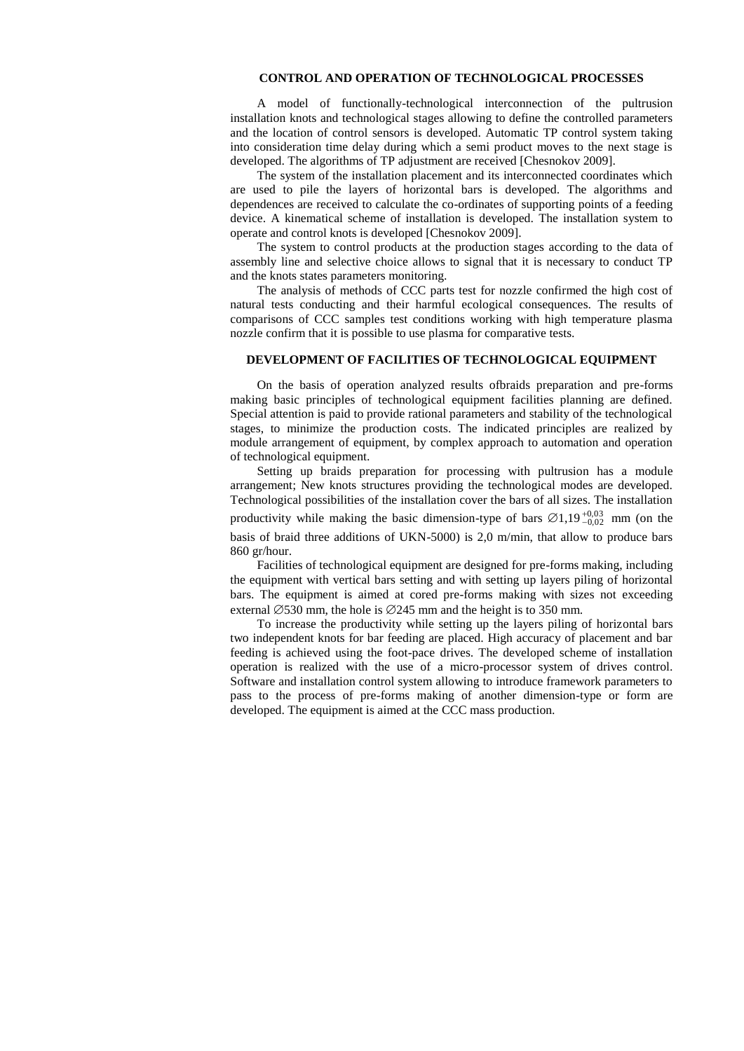### **CONTROL AND OPERATION OF TECHNOLOGICAL PROCESSES**

A model of functionally-technological interconnection of the pultrusion installation knots and technological stages allowing to define the controlled parameters and the location of control sensors is developed. Automatic TP control system taking into consideration time delay during which a semi product moves to the next stage is developed. The algorithms of TP adjustment are received [Chesnokov 2009].

The system of the installation placement and its interconnected coordinates which are used to pile the layers of horizontal bars is developed. The algorithms and dependences are received to calculate the co-ordinates of supporting points of a feeding device. A kinematical scheme of installation is developed. The installation system to operate and control knots is developed [Chesnokov 2009].

The system to control products at the production stages according to the data of assembly line and selective choice allows to signal that it is necessary to conduct TP and the knots states parameters monitoring.

The analysis of methods of CCC parts test for nozzle confirmed the high cost of natural tests conducting and their harmful ecological consequences. The results of comparisons of CCC samples test conditions working with high temperature plasma nozzle confirm that it is possible to use plasma for comparative tests.

#### **DEVELOPMENT OF FACILITIES OF TECHNOLOGICAL EQUIPMENT**

On the basis of operation analyzed results ofbraids preparation and pre-forms making basic principles of technological equipment facilities planning are defined. Special attention is paid to provide rational parameters and stability of the technological stages, to minimize the production costs. The indicated principles are realized by module arrangement of equipment, by complex approach to automation and operation of technological equipment.

Setting up braids preparation for processing with pultrusion has a module arrangement; New knots structures providing the technological modes are developed. Technological possibilities of the installation cover the bars of all sizes. The installation productivity while making the basic dimension-type of bars  $\varnothing$ 1,19<sup> $+0,03$ </sup> mm (on the basis of braid three additions of UKN-5000) is 2,0 m/min, that allow to produce bars 860 gr/hour.

Facilities of technological equipment are designed for pre-forms making, including the equipment with vertical bars setting and with setting up layers piling of horizontal bars. The equipment is aimed at cored pre-forms making with sizes not exceeding external  $\emptyset$ 530 mm, the hole is  $\emptyset$ 245 mm and the height is to 350 mm.

To increase the productivity while setting up the layers piling of horizontal bars two independent knots for bar feeding are placed. High accuracy of placement and bar feeding is achieved using the foot-pace drives. The developed scheme of installation operation is realized with the use of a micro-processor system of drives control. Software and installation control system allowing to introduce framework parameters to pass to the process of pre-forms making of another dimension-type or form are developed. The equipment is aimed at the CCC mass production.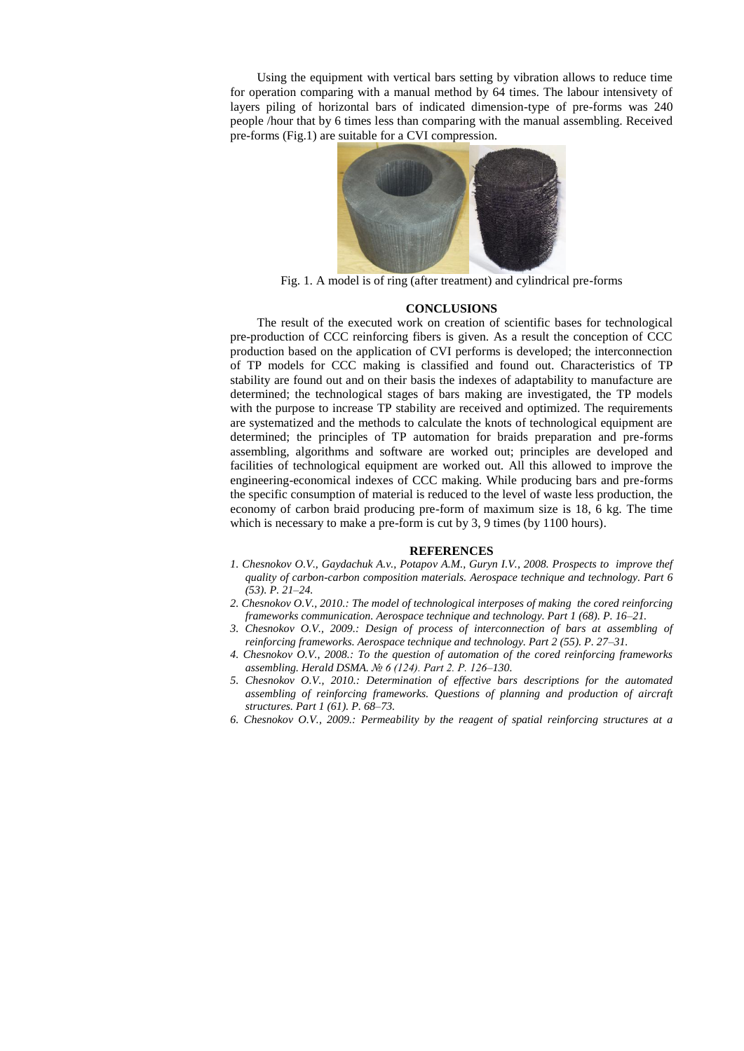Using the equipment with vertical bars setting by vibration allows to reduce time for operation comparing with a manual method by 64 times. The labour intensivety of layers piling of horizontal bars of indicated dimension-type of pre-forms was 240 people /hour that by 6 times less than comparing with the manual assembling. Received pre-forms (Fig.1) are suitable for a CVI compression.



Fig. 1. A model is of ring (after treatment) and cylindrical pre-forms

#### **CONCLUSIONS**

The result of the executed work on creation of scientific bases for technological pre-production of CCC reinforcing fibers is given. As a result the conception of CCC production based on the application of CVI performs is developed; the interconnection of TP models for CCC making is classified and found out. Characteristics of TP stability are found out and on their basis the indexes of adaptability to manufacture are determined; the technological stages of bars making are investigated, the TP models with the purpose to increase TP stability are received and optimized. The requirements are systematized and the methods to calculate the knots of technological equipment are determined; the principles of TP automation for braids preparation and pre-forms assembling, algorithms and software are worked out; principles are developed and facilities of technological equipment are worked out. All this allowed to improve the engineering-economical indexes of CCC making. While producing bars and pre-forms the specific consumption of material is reduced to the level of waste less production, the economy of carbon braid producing pre-form of maximum size is 18, 6 kg. The time which is necessary to make a pre-form is cut by 3, 9 times (by 1100 hours).

#### **REFERENCES**

- *1. Chesnokov O.V., Gaydachuk A.v., Potapov A.M., Guryn I.V., 2008. Prospects to improve thef quality of carbon-carbon composition materials. Aerospace technique and technology. Part 6 (53). P. 21–24.*
- *2. Chesnokov O.V., 2010.: The model of technological interposes of making the cored reinforcing frameworks communication. Aerospace technique and technology. Part 1 (68). P. 16–21.*
- *3. Chesnokov O.V., 2009.: Design of process of interconnection of bars at assembling of reinforcing frameworks. Aerospace technique and technology. Part 2 (55). P. 27–31.*
- *4. Chesnokov O.V., 2008.: To the question of automation of the cored reinforcing frameworks assembling. Herald DSMA. № 6 (124). Part 2. P. 126–130.*
- *5. Chesnokov O.V., 2010.: Determination of effective bars descriptions for the automated assembling of reinforcing frameworks. Questions of planning and production of aircraft structures. Part 1 (61). P. 68–73.*
- *6. Chesnokov O.V., 2009.: Permeability by the reagent of spatial reinforcing structures at a*